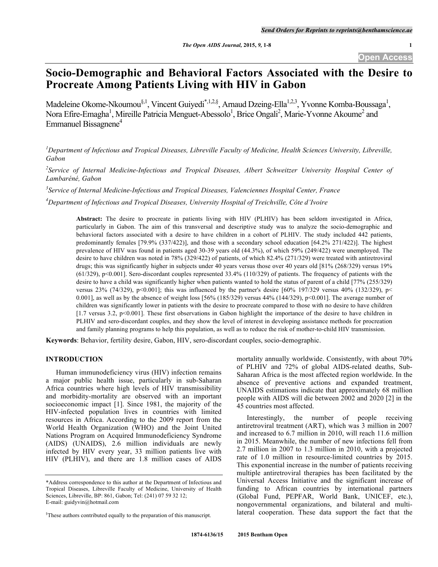# **Socio-Demographic and Behavioral Factors Associated with the Desire to Procreate Among Patients Living with HIV in Gabon**

Madeleine Okome-Nkoumou<sup>§, 1</sup>, Vincent Guiyedi<sup>\*, 1,2,§</sup>, Arnaud Dzeing-Ella<sup>1,2,3</sup>, Yvonne Komba-Boussaga<sup>1</sup>, Nora Efire-Emagha<sup>1</sup>, Mireille Patricia Menguet-Abessolo<sup>1</sup>, Brice Ongali<sup>2</sup>, Marie-Yvonne Akoume<sup>2</sup> and Emmanuel Bissagnene<sup>4</sup>

<sup>1</sup>Department of Infectious and Tropical Diseases, Libreville Faculty of Medicine, Health Sciences University, Libreville, *Gabon*

<sup>2</sup> Service of Internal Medicine-Infectious and Tropical Diseases, Albert Schweitzer University Hospital Center of *Lambaréné, Gabon*

*3 Service of Internal Medicine-Infectious and Tropical Diseases, Valenciennes Hospital Center, France*

*4 Department of Infectious and Tropical Diseases, University Hospital of Treichville, Côte d'Ivoire*

**Abstract:** The desire to procreate in patients living with HIV (PLHIV) has been seldom investigated in Africa, particularly in Gabon. The aim of this transversal and descriptive study was to analyze the socio-demographic and behavioral factors associated with a desire to have children in a cohort of PLHIV. The study included 442 patients, predominantly females [79.9% (337/422)], and those with a secondary school education [64.2% 271/422)]. The highest prevalence of HIV was found in patients aged 30-39 years old (44.3%), of which 59% (249/422) were unemployed. The desire to have children was noted in 78% (329/422) of patients, of which 82.4% (271/329) were treated with antiretroviral drugs; this was significantly higher in subjects under 40 years versus those over 40 years old [81% (268/329) versus 19% (61/329), p<0.001]. Sero-discordant couples represented 33.4% (110/329) of patients. The frequency of patients with the desire to have a child was significantly higher when patients wanted to hold the status of parent of a child [77% (255/329) versus 23% (74/329), p<0.001]; this was influenced by the partner's desire [60% 197/329 versus 40% (132/329), p< 0.001], as well as by the absence of weight loss  $[56\% (185/329)$  versus 44%  $(144/329)$ , p<0.001]. The average number of children was significantly lower in patients with the desire to procreate compared to those with no desire to have children [1.7 versus 3.2, p<0.001]. These first observations in Gabon highlight the importance of the desire to have children in PLHIV and sero-discordant couples, and they show the level of interest in developing assistance methods for procreation and family planning programs to help this population, as well as to reduce the risk of mother-to-child HIV transmission.

**Keywords**: Behavior, fertility desire, Gabon, HIV, sero-discordant couples, socio-demographic.

# **INTRODUCTION**

Human immunodeficiency virus (HIV) infection remains a major public health issue, particularly in sub-Saharan Africa countries where high levels of HIV transmissibility and morbidity-mortality are observed with an important socioeconomic impact [1]. Since 1981, the majority of the HIV-infected population lives in countries with limited resources in Africa. According to the 2009 report from the World Health Organization (WHO) and the Joint United Nations Program on Acquired Immunodeficiency Syndrome (AIDS) (UNAIDS), 2.6 million individuals are newly infected by HIV every year, 33 million patients live with HIV (PLHIV), and there are 1.8 million cases of AIDS

mortality annually worldwide. Consistently, with about 70% of PLHIV and 72% of global AIDS-related deaths, Sub-Saharan Africa is the most affected region worldwide. In the absence of preventive actions and expanded treatment, UNAIDS estimations indicate that approximately 68 million people with AIDS will die between 2002 and 2020 [2] in the 45 countries most affected.

Interestingly, the number of people receiving antiretroviral treatment (ART), which was 3 million in 2007 and increased to 6.7 million in 2010, will reach 11.6 million in 2015. Meanwhile, the number of new infections fell from 2.7 million in 2007 to 1.3 million in 2010, with a projected rate of 1.0 million in resource-limited countries by 2015. This exponential increase in the number of patients receiving multiple antiretroviral therapies has been facilitated by the Universal Access Initiative and the significant increase of funding to African countries by international partners (Global Fund, PEPFAR, World Bank, UNICEF, etc.), nongovernmental organizations, and bilateral and multilateral cooperation. These data support the fact that the

<sup>\*</sup>Address correspondence to this author at the Department of Infectious and Tropical Diseases, Libreville Faculty of Medicine, University of Health Sciences, Libreville, BP: 861, Gabon; Tel: (241) 07 59 32 12; E-mail: guidyvin@hotmail.com

<sup>§</sup> These authors contributed equally to the preparation of this manuscript.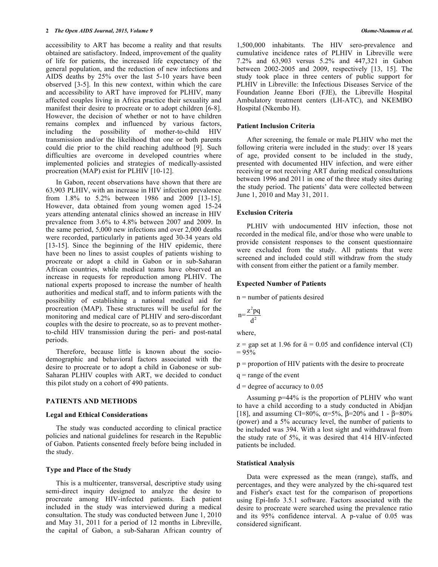# **2** *The Open AIDS Journal, 2015, Volume 9 Okome-Nkoumou et al.*

accessibility to ART has become a reality and that results obtained are satisfactory. Indeed, improvement of the quality of life for patients, the increased life expectancy of the general population, and the reduction of new infections and AIDS deaths by 25% over the last 5-10 years have been observed [3-5]. In this new context, within which the care and accessibility to ART have improved for PLHIV, many affected couples living in Africa practice their sexuality and manifest their desire to procreate or to adopt children [6-8]. However, the decision of whether or not to have children remains complex and influenced by various factors, including the possibility of mother-to-child HIV transmission and/or the likelihood that one or both parents could die prior to the child reaching adulthood [9]. Such difficulties are overcome in developed countries where implemented policies and strategies of medically-assisted procreation (MAP) exist for PLHIV [10-12].

In Gabon, recent observations have shown that there are 63,903 PLHIV, with an increase in HIV infection prevalence from 1.8% to 5.2% between 1986 and 2009 [13-15]. However, data obtained from young women aged 15-24 years attending antenatal clinics showed an increase in HIV prevalence from 3.6% to 4.8% between 2007 and 2009. In the same period, 5,000 new infections and over 2,000 deaths were recorded, particularly in patients aged 30-34 years old [13-15]. Since the beginning of the HIV epidemic, there have been no lines to assist couples of patients wishing to procreate or adopt a child in Gabon or in sub-Saharan African countries, while medical teams have observed an increase in requests for reproduction among PLHIV. The national experts proposed to increase the number of health authorities and medical staff, and to inform patients with the possibility of establishing a national medical aid for procreation (MAP). These structures will be useful for the monitoring and medical care of PLHIV and sero-discordant couples with the desire to procreate, so as to prevent motherto-child HIV transmission during the peri- and post-natal periods.

Therefore, because little is known about the sociodemographic and behavioral factors associated with the desire to procreate or to adopt a child in Gabonese or sub-Saharan PLHIV couples with ART, we decided to conduct this pilot study on a cohort of 490 patients.

# **PATIENTS AND METHODS**

#### **Legal and Ethical Considerations**

The study was conducted according to clinical practice policies and national guidelines for research in the Republic of Gabon. Patients consented freely before being included in the study.

#### **Type and Place of the Study**

This is a multicenter, transversal, descriptive study using semi-direct inquiry designed to analyze the desire to procreate among HIV-infected patients. Each patient included in the study was interviewed during a medical consultation. The study was conducted between June 1, 2010 and May 31, 2011 for a period of 12 months in Libreville, the capital of Gabon, a sub-Saharan African country of

1,500,000 inhabitants. The HIV sero-prevalence and cumulative incidence rates of PLHIV in Libreville were 7.2% and 63,903 versus 5.2% and 447,321 in Gabon between 2002-2005 and 2009, respectively [13, 15]. The study took place in three centers of public support for PLHIV in Libreville: the Infectious Diseases Service of the Foundation Jeanne Ebori (FJE), the Libreville Hospital Ambulatory treatment centers (LH-ATC), and NKEMBO Hospital (Nkembo H).

## **Patient Inclusion Criteria**

After screening, the female or male PLHIV who met the following criteria were included in the study: over 18 years of age, provided consent to be included in the study, presented with documented HIV infection, and were either receiving or not receiving ART during medical consultations between 1996 and 2011 in one of the three study sites during the study period. The patients' data were collected between June 1, 2010 and May 31, 2011.

#### **Exclusion Criteria**

PLHIV with undocumented HIV infection, those not recorded in the medical file, and/or those who were unable to provide consistent responses to the consent questionnaire were excluded from the study. All patients that were screened and included could still withdraw from the study with consent from either the patient or a family member.

## **Expected Number of Patients**

n = number of patients desired

$$
n = \frac{z^2pq}{d^2}
$$

where,

 $z =$  gap set at 1.96 for  $\bar{\alpha} = 0.05$  and confidence interval (CI)  $= 95\%$ 

p = proportion of HIV patients with the desire to procreate

 $q =$ range of the event

 $d =$  degree of accuracy to 0.05

Assuming p=44% is the proportion of PLHIV who want to have a child according to a study conducted in Abidjan [18], and assuming CI=80%,  $\alpha$ =5%,  $\beta$ =20% and 1 - β=80% (power) and a 5% accuracy level, the number of patients to be included was 394. With a lost sight and withdrawal from the study rate of 5%, it was desired that 414 HIV-infected patients be included.

#### **Statistical Analysis**

Data were expressed as the mean (range), staffs, and percentages, and they were analyzed by the chi-squared test and Fisher's exact test for the comparison of proportions using Epi-Info 3.5.1 software. Factors associated with the desire to procreate were searched using the prevalence ratio and its 95% confidence interval. A p-value of 0.05 was considered significant.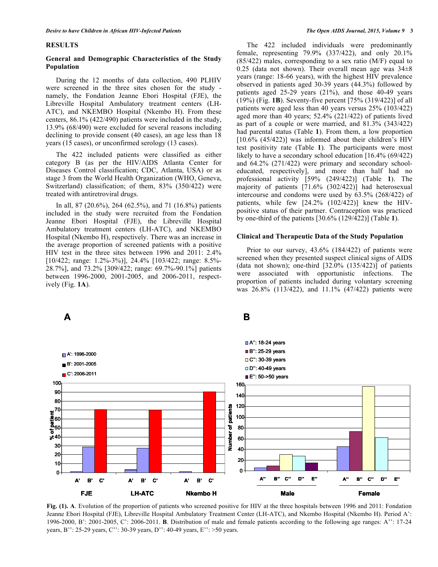#### **RESULTS**

## **General and Demographic Characteristics of the Study Population**

During the 12 months of data collection, 490 PLHIV were screened in the three sites chosen for the study namely, the Fondation Jeanne Ebori Hospital (FJE), the Libreville Hospital Ambulatory treatment centers (LH-ATC), and NKEMBO Hospital (Nkembo H). From these centers, 86.1% (422/490) patients were included in the study, 13.9% (68/490) were excluded for several reasons including declining to provide consent (40 cases), an age less than 18 years (15 cases), or unconfirmed serology (13 cases).

The 422 included patients were classified as either category B (as per the HIV/AIDS Atlanta Center for Diseases Control classification; CDC, Atlanta, USA) or as stage 3 from the World Health Organization (WHO, Geneva, Switzerland) classification; of them, 83% (350/422) were treated with antiretroviral drugs.

In all, 87 (20.6%), 264 (62.5%), and 71 (16.8%) patients included in the study were recruited from the Fondation Jeanne Ebori Hospital (FJE), the Libreville Hospital Ambulatory treatment centers (LH-ATC), and NKEMBO Hospital (Nkembo H), respectively. There was an increase in the average proportion of screened patients with a positive HIV test in the three sites between 1996 and 2011: 2.4% [10/422; range: 1.2%-3%)], 24.4% [103/422; range: 8.5%- 28.7%], and 73.2% [309/422; range: 69.7%-90.1%] patients between 1996-2000, 2001-2005, and 2006-2011, respectively (Fig. **1A**).

The 422 included individuals were predominantly female, representing 79.9% (337/422), and only 20.1% (85/422) males, corresponding to a sex ratio (M/F) equal to 0.25 (data not shown). Their overall mean age was  $34\pm8$ years (range: 18-66 years), with the highest HIV prevalence observed in patients aged 30-39 years (44.3%) followed by patients aged 25-29 years (21%), and those 40-49 years (19%) (Fig. **1B**). Seventy-five percent [75% (319/422)] of all patients were aged less than 40 years versus 25% (103/422) aged more than 40 years; 52.4% (221/422) of patients lived as part of a couple or were married, and 81.3% (343/422) had parental status (Table **1**). From them, a low proportion [10.6% (45/422)] was informed about their children's HIV test positivity rate (Table **1**). The participants were most likely to have a secondary school education [16.4% (69/422) and 64.2% (271/422) were primary and secondary schooleducated, respectively], and more than half had no professional activity [59% (249/422)] (Table **1**). The majority of patients [71.6% (302/422)] had heterosexual intercourse and condoms were used by 63.5% (268/422) of patients, while few [24.2% (102/422)] knew the HIVpositive status of their partner. Contraception was practiced by one-third of the patients [30.6% (129/422)] (Table **1**).

## **Clinical and Therapeutic Data of the Study Population**

Prior to our survey, 43.6% (184/422) of patients were screened when they presented suspect clinical signs of AIDS (data not shown); one-third  $[32.0\% (135/422)]$  of patients were associated with opportunistic infections. The proportion of patients included during voluntary screening was 26.8% (113/422), and 11.1% (47/422) patients were



**Fig. (1). A**. Evolution of the proportion of patients who screened positive for HIV at the three hospitals between 1996 and 2011: Fondation Jeanne Ebori Hospital (FJE), Libreville Hospital Ambulatory Treatment Center (LH-ATC), and Nkembo Hospital (Nkembo H). Period A': 1996-2000, B': 2001-2005, C': 2006-2011. **B**. Distribution of male and female patients according to the following age ranges: A'': 17-24 years, B'': 25-29 years, C'': 30-39 years, D'': 40-49 years, E'': >50 years.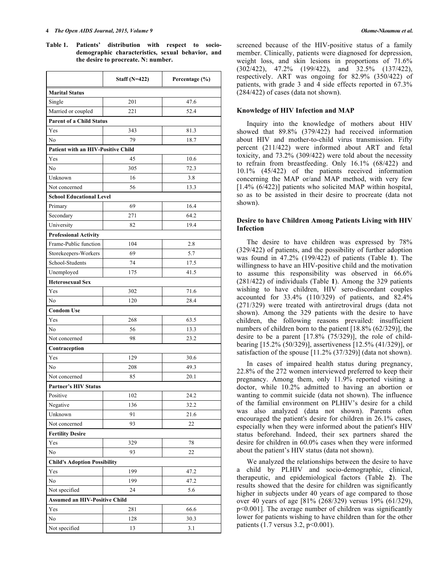**Table 1. Patients' distribution with respect to sociodemographic characteristics, sexual behavior, and the desire to procreate. N: number.**

|                                      | Staff $(N=422)$ | Percentage (%) |  |  |  |  |  |  |  |
|--------------------------------------|-----------------|----------------|--|--|--|--|--|--|--|
| <b>Marital Status</b>                |                 |                |  |  |  |  |  |  |  |
| Single                               | 201             | 47.6           |  |  |  |  |  |  |  |
| Married or coupled                   | 221             | 52.4           |  |  |  |  |  |  |  |
| <b>Parent of a Child Status</b>      |                 |                |  |  |  |  |  |  |  |
| Yes                                  | 343             | 81.3           |  |  |  |  |  |  |  |
| No                                   | 79              | 18.7           |  |  |  |  |  |  |  |
| Patient with an HIV-Positive Child   |                 |                |  |  |  |  |  |  |  |
| Yes                                  | 45              | 10.6           |  |  |  |  |  |  |  |
| No                                   | 305             | 72.3           |  |  |  |  |  |  |  |
| Unknown                              | 16              | 3.8            |  |  |  |  |  |  |  |
| Not concerned                        | 56              | 13.3           |  |  |  |  |  |  |  |
| <b>School Educational Level</b>      |                 |                |  |  |  |  |  |  |  |
| Primary                              | 69              | 16.4           |  |  |  |  |  |  |  |
| Secondary                            | 271             | 64.2           |  |  |  |  |  |  |  |
| University                           | 82              | 19.4           |  |  |  |  |  |  |  |
| <b>Professional Activity</b>         |                 |                |  |  |  |  |  |  |  |
| Frame-Public function                | 104             | 2.8            |  |  |  |  |  |  |  |
| Storekeepers-Workers                 | 69              | 5.7            |  |  |  |  |  |  |  |
| School-Students                      | 74              | 17.5           |  |  |  |  |  |  |  |
| Unemployed                           | 175             | 41.5           |  |  |  |  |  |  |  |
| <b>Heterosexual Sex</b>              |                 |                |  |  |  |  |  |  |  |
| Yes                                  | 302             | 71.6           |  |  |  |  |  |  |  |
| No                                   | 120             | 28.4           |  |  |  |  |  |  |  |
| <b>Condom Use</b>                    |                 |                |  |  |  |  |  |  |  |
| Yes                                  | 268             | 63.5           |  |  |  |  |  |  |  |
| No                                   | 56              | 13.3           |  |  |  |  |  |  |  |
| Not concerned                        | 98              | 23.2           |  |  |  |  |  |  |  |
| Contraception                        |                 |                |  |  |  |  |  |  |  |
| Yes                                  | 129             | 30.6           |  |  |  |  |  |  |  |
| No                                   | 208             | 49.3           |  |  |  |  |  |  |  |
| Not concerned                        | 85              | 20.1           |  |  |  |  |  |  |  |
| <b>Partner's HIV Status</b>          |                 |                |  |  |  |  |  |  |  |
| Positive                             | 102             | 24.2           |  |  |  |  |  |  |  |
| Negative                             | 136             | 32.2           |  |  |  |  |  |  |  |
| Unknown                              | 91              | 21.6           |  |  |  |  |  |  |  |
| Not concerned                        | 93              | 22             |  |  |  |  |  |  |  |
| <b>Fertility Desire</b>              |                 |                |  |  |  |  |  |  |  |
| Yes                                  | 329             | 78             |  |  |  |  |  |  |  |
| No                                   | 93              | 22             |  |  |  |  |  |  |  |
| <b>Child's Adoption Possibility</b>  |                 |                |  |  |  |  |  |  |  |
| Yes                                  | 199             | 47.2           |  |  |  |  |  |  |  |
| No                                   | 199             | 47.2           |  |  |  |  |  |  |  |
| Not specified                        | 24              | 5.6            |  |  |  |  |  |  |  |
| <b>Assumed an HIV-Positive Child</b> |                 |                |  |  |  |  |  |  |  |
| Yes                                  | 281             | 66.6           |  |  |  |  |  |  |  |
| No                                   | 128             | 30.3           |  |  |  |  |  |  |  |
| Not specified                        | 13              | 3.1            |  |  |  |  |  |  |  |

screened because of the HIV-positive status of a family member. Clinically, patients were diagnosed for depression, weight loss, and skin lesions in proportions of 71.6% (302/422), 47.2% (199/422), and 32.5% (137/422), respectively. ART was ongoing for 82.9% (350/422) of patients, with grade 3 and 4 side effects reported in 67.3% (284/422) of cases (data not shown).

# **Knowledge of HIV Infection and MAP**

Inquiry into the knowledge of mothers about HIV showed that 89.8% (379/422) had received information about HIV and mother-to-child virus transmission. Fifty percent (211/422) were informed about ART and fetal toxicity, and 73.2% (309/422) were told about the necessity to refrain from breastfeeding. Only 16.1% (68/422) and 10.1% (45/422) of the patients received information concerning the MAP or/and MAP method, with very few [1.4% (6/422)] patients who solicited MAP within hospital, so as to be assisted in their desire to procreate (data not shown).

# **Desire to have Children Among Patients Living with HIV Infection**

The desire to have children was expressed by 78% (329/422) of patients, and the possibility of further adoption was found in 47.2% (199/422) of patients (Table **1**). The willingness to have an HIV-positive child and the motivation to assume this responsibility was observed in 66.6% (281/422) of individuals (Table **1**). Among the 329 patients wishing to have children, HIV sero-discordant couples accounted for 33.4% (110/329) of patients, and 82.4% (271/329) were treated with antiretroviral drugs (data not shown). Among the 329 patients with the desire to have children, the following reasons prevailed: insufficient numbers of children born to the patient [18.8% (62/329)], the desire to be a parent [17.8% (75/329)], the role of childbearing [15.2% (50/329)], assertiveness [12.5% (41/329)], or satisfaction of the spouse [11.2% (37/329)] (data not shown).

In cases of impaired health status during pregnancy, 22.8% of the 272 women interviewed preferred to keep their pregnancy. Among them, only 11.9% reported visiting a doctor, while 10.2% admitted to having an abortion or wanting to commit suicide (data not shown). The influence of the familial environment on PLHIV's desire for a child was also analyzed (data not shown). Parents often encouraged the patient's desire for children in 26.1% cases, especially when they were informed about the patient's HIV status beforehand. Indeed, their sex partners shared the desire for children in 60.0% cases when they were informed about the patient's HIV status (data not shown).

We analyzed the relationships between the desire to have a child by PLHIV and socio-demographic, clinical, therapeutic, and epidemiological factors (Table **2**). The results showed that the desire for children was significantly higher in subjects under 40 years of age compared to those over 40 years of age [81% (268/329) versus 19% (61/329), p<0.001]. The average number of children was significantly lower for patients wishing to have children than for the other patients (1.7 versus 3.2, p<0.001).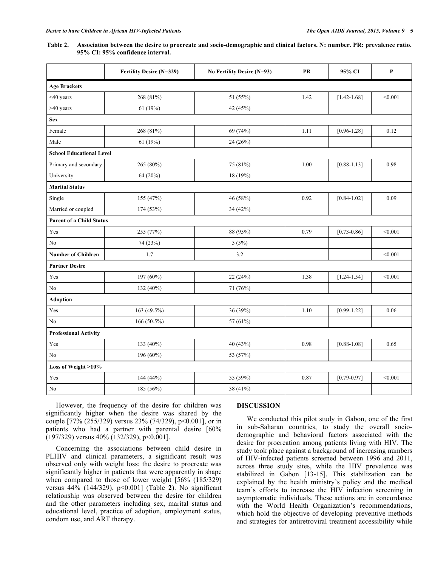| Table 2. Association between the desire to procreate and socio-demographic and clinical factors. N: number. PR: prevalence ratio. |
|-----------------------------------------------------------------------------------------------------------------------------------|
| 95% CI: 95% confidence interval.                                                                                                  |

|                                 | Fertility Desire (N=329) | No Fertility Desire (N=93) | ${\bf PR}$ | 95% CI          | $\mathbf P$ |
|---------------------------------|--------------------------|----------------------------|------------|-----------------|-------------|
| <b>Age Brackets</b>             |                          |                            |            |                 |             |
| $<$ 40 years                    | 268 (81%)                | 51 (55%)                   | 1.42       | $[1.42 - 1.68]$ | < 0.001     |
| >40 years                       | 61(19%)                  | 42 (45%)                   |            |                 |             |
| <b>Sex</b>                      |                          |                            |            |                 |             |
| Female                          | 268 (81%)                | 69 (74%)                   | 1.11       | $[0.96 - 1.28]$ | 0.12        |
| Male                            | 61(19%)                  | 24(26%)                    |            |                 |             |
| <b>School Educational Level</b> |                          |                            |            |                 |             |
| Primary and secondary           | 265 (80%)                | 75 (81%)                   | 1.00       | $[0.88 - 1.13]$ | 0.98        |
| University                      | 64 (20%)                 | 18 (19%)                   |            |                 |             |
| <b>Marital Status</b>           |                          |                            |            |                 |             |
| Single                          | 155 (47%)                | 46 (58%)                   | 0.92       | $[0.84 - 1.02]$ | 0.09        |
| Married or coupled              | 174 (53%)                | 34 (42%)                   |            |                 |             |
| <b>Parent of a Child Status</b> |                          |                            |            |                 |             |
| Yes                             | 255 (77%)                | 88 (95%)                   | 0.79       | $[0.73 - 0.86]$ | < 0.001     |
| N <sub>0</sub>                  | 74 (23%)                 | 5(5%)                      |            |                 |             |
| <b>Number of Children</b>       | 1.7                      | 3.2                        |            |                 | < 0.001     |
| <b>Partner Desire</b>           |                          |                            |            |                 |             |
| Yes                             | 197 (60%)                | 22(24%)                    | 1.38       | $[1.24 - 1.54]$ | < 0.001     |
| $\rm No$                        | 132 (40%)                | 71 (76%)                   |            |                 |             |
| <b>Adoption</b>                 |                          |                            |            |                 |             |
| Yes                             | 163 (49.5%)              | 36 (39%)                   | 1.10       | $[0.99 - 1.22]$ | 0.06        |
| N <sub>o</sub>                  | $166(50.5\%)$            | 57 (61%)                   |            |                 |             |
| <b>Professional Activity</b>    |                          |                            |            |                 |             |
| Yes                             | 133 (40%)                | 40 (43%)                   | 0.98       | $[0.88 - 1.08]$ | 0.65        |
| No                              | 196 (60%)                | 53 (57%)                   |            |                 |             |
| Loss of Weight >10%             |                          |                            |            |                 |             |
| Yes                             | 144 (44%)                | 55 (59%)                   | 0.87       | $[0.79 - 0.97]$ | < 0.001     |
| $\rm No$                        | 185 (56%)                | 38 (41%)                   |            |                 |             |

However, the frequency of the desire for children was significantly higher when the desire was shared by the couple [77% (255/329) versus 23% (74/329), p<0.001], or in patients who had a partner with parental desire [60%  $(197/329)$  versus 40%  $(132/329)$ , p<0.001].

Concerning the associations between child desire in PLHIV and clinical parameters, a significant result was observed only with weight loss: the desire to procreate was significantly higher in patients that were apparently in shape when compared to those of lower weight [56% (185/329) versus 44% (144/329), p<0.001] (Table **2**). No significant relationship was observed between the desire for children and the other parameters including sex, marital status and educational level, practice of adoption, employment status, condom use, and ART therapy.

# **DISCUSSION**

We conducted this pilot study in Gabon, one of the first in sub-Saharan countries, to study the overall sociodemographic and behavioral factors associated with the desire for procreation among patients living with HIV. The study took place against a background of increasing numbers of HIV-infected patients screened between 1996 and 2011, across three study sites, while the HIV prevalence was stabilized in Gabon [13-15]. This stabilization can be explained by the health ministry's policy and the medical team's efforts to increase the HIV infection screening in asymptomatic individuals. These actions are in concordance with the World Health Organization's recommendations, which hold the objective of developing preventive methods and strategies for antiretroviral treatment accessibility while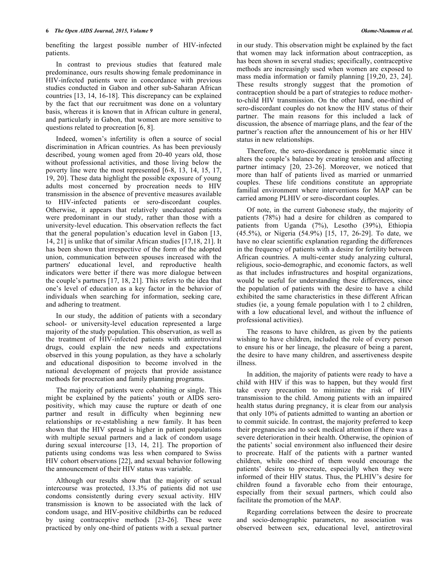benefiting the largest possible number of HIV-infected patients.

In contrast to previous studies that featured male predominance, ours results showing female predominance in HIV-infected patients were in concordance with previous studies conducted in Gabon and other sub-Saharan African countries [13, 14, 16-18]. This discrepancy can be explained by the fact that our recruitment was done on a voluntary basis, whereas it is known that in African culture in general, and particularly in Gabon, that women are more sensitive to questions related to procreation [6, 8].

Indeed, women's infertility is often a source of social discrimination in African countries. As has been previously described, young women aged from 20-40 years old, those without professional activities, and those living below the poverty line were the most represented [6-8, 13, 14, 15, 17, 19, 20]. These data highlight the possible exposure of young adults most concerned by procreation needs to HIV transmission in the absence of preventive measures available to HIV-infected patients or sero-discordant couples. Otherwise, it appears that relatively uneducated patients were predominant in our study, rather than those with a university-level education. This observation reflects the fact that the general population's education level in Gabon [13, 14, 21] is unlike that of similar African studies [17,18, 21]. It has been shown that irrespective of the form of the adopted union, communication between spouses increased with the partners' educational level, and reproductive health indicators were better if there was more dialogue between the couple's partners [17, 18, 21]. This refers to the idea that one's level of education as a key factor in the behavior of individuals when searching for information, seeking care, and adhering to treatment.

In our study, the addition of patients with a secondary school- or university-level education represented a large majority of the study population. This observation, as well as the treatment of HIV-infected patients with antiretroviral drugs, could explain the new needs and expectations observed in this young population, as they have a scholarly and educational disposition to become involved in the national development of projects that provide assistance methods for procreation and family planning programs.

The majority of patients were cohabiting or single. This might be explained by the patients' youth or AIDS seropositivity, which may cause the rupture or death of one partner and result in difficulty when beginning new relationships or re-establishing a new family. It has been shown that the HIV spread is higher in patient populations with multiple sexual partners and a lack of condom usage during sexual intercourse [13, 14, 21]. The proportion of patients using condoms was less when compared to Swiss HIV cohort observations [22], and sexual behavior following the announcement of their HIV status was variable.

Although our results show that the majority of sexual intercourse was protected, 13.3% of patients did not use condoms consistently during every sexual activity. HIV transmission is known to be associated with the lack of condom usage, and HIV-positive childbirths can be reduced by using contraceptive methods [23-26]. These were practiced by only one-third of patients with a sexual partner

in our study. This observation might be explained by the fact that women may lack information about contraception, as has been shown in several studies; specifically, contraceptive methods are increasingly used when women are exposed to mass media information or family planning [19,20, 23, 24]. These results strongly suggest that the promotion of contraception should be a part of strategies to reduce motherto-child HIV transmission. On the other hand, one-third of sero-discordant couples do not know the HIV status of their partner. The main reasons for this included a lack of discussion, the absence of marriage plans, and the fear of the partner's reaction after the announcement of his or her HIV status in new relationships.

Therefore, the sero-discordance is problematic since it alters the couple's balance by creating tension and affecting partner intimacy [20, 23-26]. Moreover, we noticed that more than half of patients lived as married or unmarried couples. These life conditions constitute an appropriate familial environment where interventions for MAP can be carried among PLHIV or sero-discordant couples.

Of note, in the current Gabonese study, the majority of patients (78%) had a desire for children as compared to patients from Uganda (7%), Lesotho (39%), Ethiopia (45.5%), or Nigeria (54.9%) [15, 17, 26-29]. To date, we have no clear scientific explanation regarding the differences in the frequency of patients with a desire for fertility between African countries. A multi-center study analyzing cultural, religious, socio-demographic, and economic factors, as well as that includes infrastructures and hospital organizations, would be useful for understanding these differences, since the population of patients with the desire to have a child exhibited the same characteristics in these different African studies (ie, a young female population with 1 to 2 children, with a low educational level, and without the influence of professional activities).

The reasons to have children, as given by the patients wishing to have children, included the role of every person to ensure his or her lineage, the pleasure of being a parent, the desire to have many children, and assertiveness despite illness.

In addition, the majority of patients were ready to have a child with HIV if this was to happen, but they would first take every precaution to minimize the risk of HIV transmission to the child. Among patients with an impaired health status during pregnancy, it is clear from our analysis that only 10% of patients admitted to wanting an abortion or to commit suicide. In contrast, the majority preferred to keep their pregnancies and to seek medical attention if there was a severe deterioration in their health. Otherwise, the opinion of the patients' social environment also influenced their desire to procreate. Half of the patients with a partner wanted children, while one-third of them would encourage the patients' desires to procreate, especially when they were informed of their HIV status. Thus, the PLHIV's desire for children found a favorable echo from their entourage, especially from their sexual partners, which could also facilitate the promotion of the MAP.

Regarding correlations between the desire to procreate and socio-demographic parameters, no association was observed between sex, educational level, antiretroviral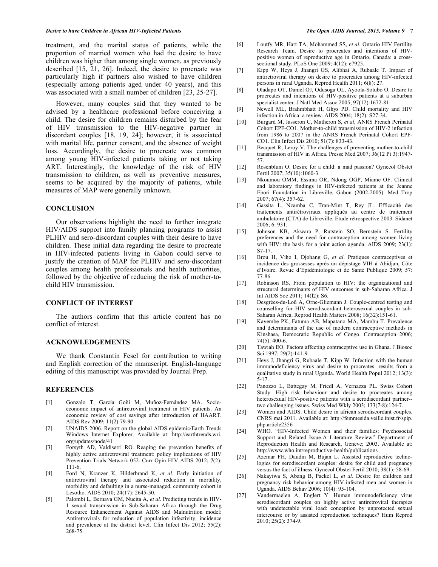treatment, and the marital status of patients, while the proportion of married women who had the desire to have children was higher than among single women, as previously described [15, 21, 26]. Indeed, the desire to procreate was particularly high if partners also wished to have children (especially among patients aged under 40 years), and this was associated with a small number of children [23, 25-27].

However, many couples said that they wanted to be advised by a healthcare professional before conceiving a child. The desire for children remains disturbed by the fear of HIV transmission to the HIV-negative partner in discordant couples [18, 19, 24]; however, it is associated with marital life, partner consent, and the absence of weight loss. Accordingly, the desire to procreate was common among young HIV-infected patients taking or not taking ART. Interestingly, the knowledge of the risk of HIV transmission to children, as well as preventive measures, seems to be acquired by the majority of patients, while measures of MAP were generally unknown.

# **CONCLUSION**

Our observations highlight the need to further integrate HIV/AIDS support into family planning programs to assist PLHIV and sero-discordant couples with their desire to have children. These initial data regarding the desire to procreate in HIV-infected patients living in Gabon could serve to justify the creation of MAP for PLHIV and sero-discordant couples among health professionals and health authorities, followed by the objective of reducing the risk of mother-tochild HIV transmission.

# **CONFLICT OF INTEREST**

The authors confirm that this article content has no conflict of interest.

# **ACKNOWLEDGEMENTS**

We thank Constantin Fesel for contribution to writing and English correction of the manuscript. English-language editing of this manuscript was provided by Journal Prep.

# **REFERENCES**

- [1] Gonzalo T, García Goñi M, Muñoz-Fernández MA. Socioeconomic impact of antiretroviral treatment in HIV patients. An economic review of cost savings after introduction of HAART. AIDS Rev 2009; 11(2):79-90.
- [2] UNAIDS 2006. Report on the global AIDS epidemic/Earth Trends Windows Internet Explorer. Available at: http://earthtrends.wri. org/updates/node/41
- [3] Forsyth AD, Valdiserri RO. Reaping the prevention benefits of highly active antiretroviral treatment: policy implications of HIV Prevention Trials Network 052. Curr Opin HIV AIDS 2012; **7**(2): 111-6.
- [4] Ford N, Kranzer K, Hilderbrand K, *et al*. Early initiation of antiretroviral therapy and associated reduction in mortality, morbidity and defaulting in a nurse-managed, community cohort in Lesotho. AIDS 2010; 24(17): 2645-50.
- [5] Palombi L, Bernava GM, Nucita A, *et al*. Predicting trends in HIV-1 sexual transmission in Sub-Saharan Africa through the Drug Resource Enhancement Against AIDS and Malnutrition model: Antiretrovirals for reduction of population infectivity, incidence and prevalence at the district level. Clin Infect Dis 2012; 55(2): 268-75.
- [6] Loutfy MR, Hart TA, Mohammed SS, *et al*. Ontario HIV Fertility Research Team. Desire to procreates and intentions of HIVpositive women of reproductive age in Ontario, Canada: a crosssectional study. PLoS One 2009; 4(12): e7925.
- [7] Kipp W, Heys J, Jhangri GS, Alibhai A, Rubaale T. Impact of antiretroviral therapy on desire to procreates among HIV-infected persons in rural Uganda. Reprod Health 2011; 6(8): 27.
- [8] Oladapo OT, Daniel OJ, Odusoga OL, Ayoola-Sotubo O. Desire to procreates and intentions of HIV-positive patients at a suburban specialist center. J Natl Med Assoc  $2005$ ;  $97(12)$ :1672-81.
- [9] Newell ML, Brahmbhatt H, Ghys PD. Child mortality and HIV infection in Africa: a review. AIDS 2004; 18(2): S27-34.
- [10] Burgard M, Jasseron C, Matheron S, *et al*, ANRS French Perinatal Cohort EPF-CO1. Mother-to-child transmission of HIV-2 infection from 1986 to 2007 in the ANRS French Perinatal Cohort EPF-CO1. Clin Infect Dis 2010; 51(7): 833-43.
- [11] Becquet R, Leroy V. The challenges of preventing mother-to-child transmission of HIV in Africa. Presse Med 2007; 36(12 Pt 3):1947- 57.
- [12] Rosenblum O. Desire for a child: a mad passion? Gynecol Obstet Fertil 2007; 35(10):1060-3.
- [13] Nkoumou OMM, Essima OR, Ndong OGP, Miame OF. Clinical and laboratory findings in HIV-infected patients at the Jeanne Ebori Foundation in Libreville, Gabon (2002-2005). Med Trop 2007; 67(4): 357-62.
- [14] Gassita L, Nzamba C, Tran-Mint T, Rey JL. Efficacité des traitements antirétroviraux appliqués au centre de traitement ambulatoire (CTA) de Libreville. Etude rétrospective 2003. Sidanet 2006; 6: 931.
- [15] Johnson KB, Akwara P, Rutstein SO, Bernstein S. Fertility preferences and the need for contraception among women living with HIV: the basis for a joint action agenda. AIDS  $2009$ ;  $23(1)$ : S7-17.
- [16] Brou H, Viho I, Djohang G, *et al*. Pratiques contraceptives et incidence des grossesses après un dépistage VIH à Abidjan, Côte d'Ivoire. Revue d'Epidémiologie et de Santé Publique 2009; 57: 77-86.
- [17] Robinson RS. From population to HIV: the organizational and structural determinants of HIV outcomes in sub-Saharan Africa. J Int AIDS Soc 2011; 14(l2): S6.
- [18] Desgrées-du-Loû A, Orne-Gliemann J. Couple-centred testing and counselling for HIV serodiscordant heterosexual couples in sub-Saharan Africa. Reprod Health Matters 2008; 16(32):151-61.
- [19] Kayembe PK, Fatuma AB, Mapatano MA, Mambu T. Prevalence and determinants of the use of modern contraceptive methods in Kinshasa, Democratic Republic of Congo. Contraception 2006; 74(5): 400-6.
- [20] Tawiah EO. Factors affecting contraceptive use in Ghana. J Biosoc Sci 1997; 29(2):141-9.
- [21] Heys J, Jhangri G, Rubaale T, Kipp W. Infection with the human immunodeficiency virus and desire to procreates: results from a qualitative study in rural Uganda. World Health Popul 2012; 13(3): 5-17.
- [22] Panozzo L, Battegay M, Friedl A, Vernazza PL. Swiss Cohort Study. High risk behaviour and desire to procreates among heterosexual HIV-positive patients with a serodiscordant partner- two challenging issues. Swiss Med Wkly 2003; 133(7-8):124-7.
- [23] Women and AIDS. Child desire in african serodiscordant couples. CNRS mai 2011. Available at: http://femmesida.veille.inist.fr/spip. php.article2356
- [24] WHO. "HIV-Infected Women and their families: Psychosocial Support and Related Issue-A Literature Review" Department of Reproduction Health and Research, Geneve; 2003. Available at: http://www.who.int/reproductive-health/publications
- [25] Azemar FH, Daudin M, Bujan L. Assisted reproductive technologies for serodiscordant couples: desire for child and pregnancy versus the fact of illness. Gynecol Obstet Fertil 2010; 38(1): 58-69.
- [26] Nakayiwa S, Abang B, Packel L, *et al*. Desire for children and pregnancy risk behavior among HIV-infected men and women in Uganda. AIDS Behav 2006; 10(4): 95-104.
- [27] Vandermaelen A, Englert Y. Human immunodeficiency virus serodiscordant couples on highly active antiretroviral therapies with undetectable viral load: conception by unprotected sexual intercourse or by assisted reproduction techniques? Hum Reprod 2010; 25(2): 374-9.